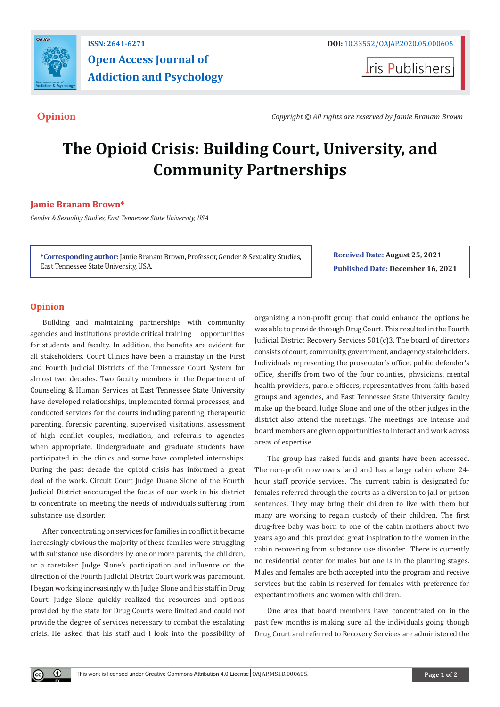

## **ISSN: 2641-6271 DOI:** [10.33552/OAJAP.2020.05.000605](http://dx.doi.org/10.33552/OAJAP.2020.05.000605) **Open Access Journal of Addiction and Psychology**

**Iris Publishers** 

**Opinion** *Copyright © All rights are reserved by Jamie Branam Brown*

# **The Opioid Crisis: Building Court, University, and Community Partnerships**

### **Jamie Branam Brown\***

*Gender & Sexuality Studies, East Tennessee State University, USA*

**\*Corresponding author:** Jamie Branam Brown, Professor, Gender & Sexuality Studies, East Tennessee State University, USA.

**Received Date: August 25, 2021 Published Date: December 16, 2021**

#### **Opinion**

 $^{\circ}$ 

Building and maintaining partnerships with community agencies and institutions provide critical training opportunities for students and faculty. In addition, the benefits are evident for all stakeholders. Court Clinics have been a mainstay in the First and Fourth Judicial Districts of the Tennessee Court System for almost two decades. Two faculty members in the Department of Counseling & Human Services at East Tennessee State University have developed relationships, implemented formal processes, and conducted services for the courts including parenting, therapeutic parenting, forensic parenting, supervised visitations, assessment of high conflict couples, mediation, and referrals to agencies when appropriate. Undergraduate and graduate students have participated in the clinics and some have completed internships. During the past decade the opioid crisis has informed a great deal of the work. Circuit Court Judge Duane Slone of the Fourth Judicial District encouraged the focus of our work in his district to concentrate on meeting the needs of individuals suffering from substance use disorder.

After concentrating on services for families in conflict it became increasingly obvious the majority of these families were struggling with substance use disorders by one or more parents, the children, or a caretaker. Judge Slone's participation and influence on the direction of the Fourth Judicial District Court work was paramount. I began working increasingly with Judge Slone and his staff in Drug Court. Judge Slone quickly realized the resources and options provided by the state for Drug Courts were limited and could not provide the degree of services necessary to combat the escalating crisis. He asked that his staff and I look into the possibility of organizing a non-profit group that could enhance the options he was able to provide through Drug Court. This resulted in the Fourth Judicial District Recovery Services 501(c)3. The board of directors consists of court, community, government, and agency stakeholders. Individuals representing the prosecutor's office, public defender's office, sheriffs from two of the four counties, physicians, mental health providers, parole officers, representatives from faith-based groups and agencies, and East Tennessee State University faculty make up the board. Judge Slone and one of the other judges in the district also attend the meetings. The meetings are intense and board members are given opportunities to interact and work across areas of expertise.

The group has raised funds and grants have been accessed. The non-profit now owns land and has a large cabin where 24 hour staff provide services. The current cabin is designated for females referred through the courts as a diversion to jail or prison sentences. They may bring their children to live with them but many are working to regain custody of their children. The first drug-free baby was born to one of the cabin mothers about two years ago and this provided great inspiration to the women in the cabin recovering from substance use disorder. There is currently no residential center for males but one is in the planning stages. Males and females are both accepted into the program and receive services but the cabin is reserved for females with preference for expectant mothers and women with children.

One area that board members have concentrated on in the past few months is making sure all the individuals going though Drug Court and referred to Recovery Services are administered the